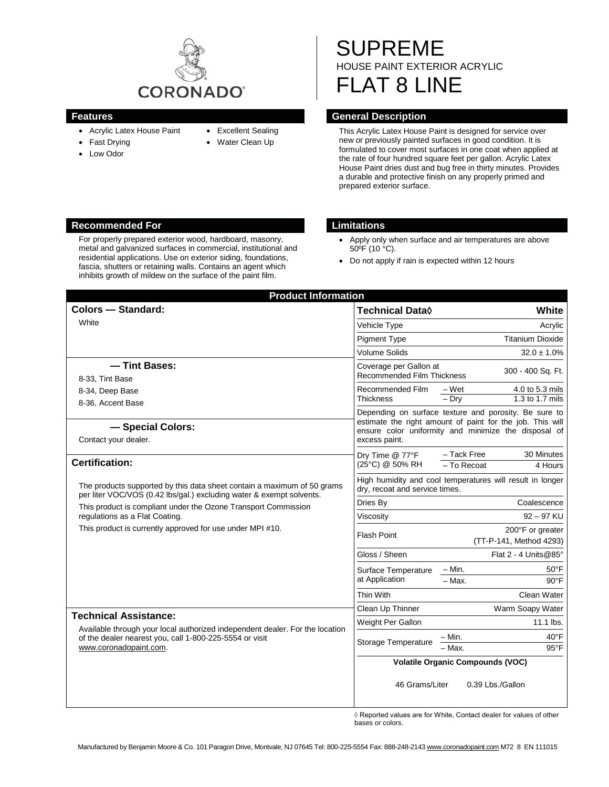

- Acrylic Latex House Paint
- Fast Drying
- Low Odor
- Excellent Sealing
- Water Clean Up
- SUPREME HOUSE PAINT EXTERIOR ACRYLIC FLAT 8 LINE

## **Features General Description**

This Acrylic Latex House Paint is designed for service over new or previously painted surfaces in good condition. It is formulated to cover most surfaces in one coat when applied at the rate of four hundred square feet per gallon. Acrylic Latex House Paint dries dust and bug free in thirty minutes. Provides a durable and protective finish on any properly primed and prepared exterior surface.

### **Recommended For Limitations**

For properly prepared exterior wood, hardboard, masonry, metal and galvanized surfaces in commercial, institutional and residential applications. Use on exterior siding, foundations, fascia, shutters or retaining walls. Contains an agent which inhibits growth of mildew on the surface of the paint film.

- Apply only when surface and air temperatures are above 50ºF (10 °C).
- Do not apply if rain is expected within 12 hours

| <b>Product Information</b>                                                                                                                                                                                        |                                                                                                                                                                                             |                                                         |
|-------------------------------------------------------------------------------------------------------------------------------------------------------------------------------------------------------------------|---------------------------------------------------------------------------------------------------------------------------------------------------------------------------------------------|---------------------------------------------------------|
| <b>Colors - Standard:</b>                                                                                                                                                                                         | <b>Technical Data</b> ♦                                                                                                                                                                     | White                                                   |
| White                                                                                                                                                                                                             | Vehicle Type                                                                                                                                                                                | Acrylic                                                 |
|                                                                                                                                                                                                                   | <b>Pigment Type</b>                                                                                                                                                                         | <b>Titanium Dioxide</b>                                 |
|                                                                                                                                                                                                                   | <b>Volume Solids</b>                                                                                                                                                                        | $32.0 \pm 1.0\%$                                        |
| - Tint Bases:                                                                                                                                                                                                     | Coverage per Gallon at                                                                                                                                                                      | 300 - 400 Sq. Ft.                                       |
| 8-33, Tint Base                                                                                                                                                                                                   | Recommended Film Thickness                                                                                                                                                                  |                                                         |
| 8-34, Deep Base                                                                                                                                                                                                   | Recommended Film                                                                                                                                                                            | $-Wet$<br>4.0 to 5.3 mils<br>$-$ Drv<br>1.3 to 1.7 mils |
| 8-36, Accent Base                                                                                                                                                                                                 | <b>Thickness</b>                                                                                                                                                                            |                                                         |
| - Special Colors:<br>Contact your dealer.                                                                                                                                                                         | Depending on surface texture and porosity. Be sure to<br>estimate the right amount of paint for the job. This will<br>ensure color uniformity and minimize the disposal of<br>excess paint. |                                                         |
| <b>Certification:</b>                                                                                                                                                                                             | Dry Time @ 77°F<br>(25°C) @ 50% RH                                                                                                                                                          | - Tack Free<br>30 Minutes<br>- To Recoat<br>4 Hours     |
| The products supported by this data sheet contain a maximum of 50 grams<br>per liter VOC/VOS (0.42 lbs/gal.) excluding water & exempt solvents.<br>This product is compliant under the Ozone Transport Commission | High humidity and cool temperatures will result in longer<br>dry, recoat and service times.                                                                                                 |                                                         |
|                                                                                                                                                                                                                   | Dries By                                                                                                                                                                                    | Coalescence                                             |
| regulations as a Flat Coating.                                                                                                                                                                                    | Viscosity                                                                                                                                                                                   | $92 - 97$ KU                                            |
| This product is currently approved for use under MPI #10.                                                                                                                                                         | <b>Flash Point</b>                                                                                                                                                                          | 200°F or greater<br>(TT-P-141, Method 4293)             |
|                                                                                                                                                                                                                   | Gloss / Sheen                                                                                                                                                                               | Flat 2 - 4 Units@85°                                    |
|                                                                                                                                                                                                                   | Surface Temperature<br>at Application                                                                                                                                                       | – Min.<br>$50^{\circ}$ F                                |
|                                                                                                                                                                                                                   |                                                                                                                                                                                             | $-$ Max.<br>$90^{\circ}$ F                              |
|                                                                                                                                                                                                                   | Thin With                                                                                                                                                                                   | Clean Water                                             |
| <b>Technical Assistance:</b><br>Available through your local authorized independent dealer. For the location<br>of the dealer nearest you, call 1-800-225-5554 or visit<br>www.coronadopaint.com.                 | Clean Up Thinner                                                                                                                                                                            | Warm Soapy Water                                        |
|                                                                                                                                                                                                                   | Weight Per Gallon                                                                                                                                                                           | $11.1$ lbs.                                             |
|                                                                                                                                                                                                                   | Storage Temperature                                                                                                                                                                         | - Min.<br>40°F                                          |
|                                                                                                                                                                                                                   |                                                                                                                                                                                             | $95^{\circ}$ F<br>- Max.                                |
|                                                                                                                                                                                                                   | <b>Volatile Organic Compounds (VOC)</b>                                                                                                                                                     |                                                         |
|                                                                                                                                                                                                                   | 46 Grams/Liter                                                                                                                                                                              | 0.39 Lbs./Gallon                                        |

 $\Diamond$  Reported values are for White, Contact dealer for values of other bases or colors.